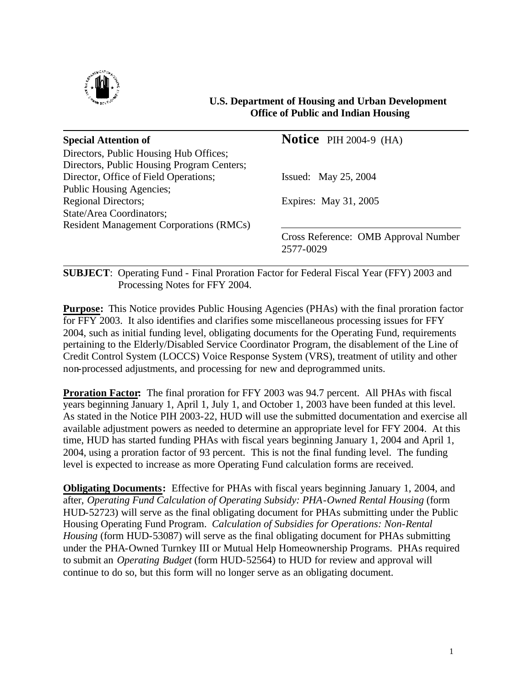

## **U.S. Department of Housing and Urban Development Office of Public and Indian Housing**

| <b>Special Attention of</b>                    | <b>Notice</b> PIH 2004-9 $(HA)$      |
|------------------------------------------------|--------------------------------------|
| Directors, Public Housing Hub Offices;         |                                      |
| Directors, Public Housing Program Centers;     |                                      |
| Director, Office of Field Operations;          | Issued: May 25, 2004                 |
| Public Housing Agencies;                       |                                      |
| <b>Regional Directors;</b>                     | Expires: May 31, 2005                |
| State/Area Coordinators;                       |                                      |
| <b>Resident Management Corporations (RMCs)</b> |                                      |
|                                                | Cross Reference: OMB Approval Number |
|                                                | 2577-0029                            |

**SUBJECT**: Operating Fund - Final Proration Factor for Federal Fiscal Year (FFY) 2003 and Processing Notes for FFY 2004.

**Purpose:** This Notice provides Public Housing Agencies (PHAs) with the final proration factor for FFY 2003. It also identifies and clarifies some miscellaneous processing issues for FFY 2004, such as initial funding level, obligating documents for the Operating Fund, requirements pertaining to the Elderly/Disabled Service Coordinator Program, the disablement of the Line of Credit Control System (LOCCS) Voice Response System (VRS), treatment of utility and other non-processed adjustments, and processing for new and deprogrammed units.

**Proration Factor:** The final proration for FFY 2003 was 94.7 percent. All PHAs with fiscal years beginning January 1, April 1, July 1, and October 1, 2003 have been funded at this level. As stated in the Notice PIH 2003-22, HUD will use the submitted documentation and exercise all available adjustment powers as needed to determine an appropriate level for FFY 2004. At this time, HUD has started funding PHAs with fiscal years beginning January 1, 2004 and April 1, 2004, using a proration factor of 93 percent. This is not the final funding level. The funding level is expected to increase as more Operating Fund calculation forms are received.

**Obligating Documents:** Effective for PHAs with fiscal years beginning January 1, 2004, and after, *Operating Fund Calculation of Operating Subsidy: PHA-Owned Rental Housing* (form HUD-52723) will serve as the final obligating document for PHAs submitting under the Public Housing Operating Fund Program. *Calculation of Subsidies for Operations: Non-Rental Housing* (form HUD-53087) will serve as the final obligating document for PHAs submitting under the PHA-Owned Turnkey III or Mutual Help Homeownership Programs. PHAs required to submit an *Operating Budget* (form HUD-52564) to HUD for review and approval will continue to do so, but this form will no longer serve as an obligating document.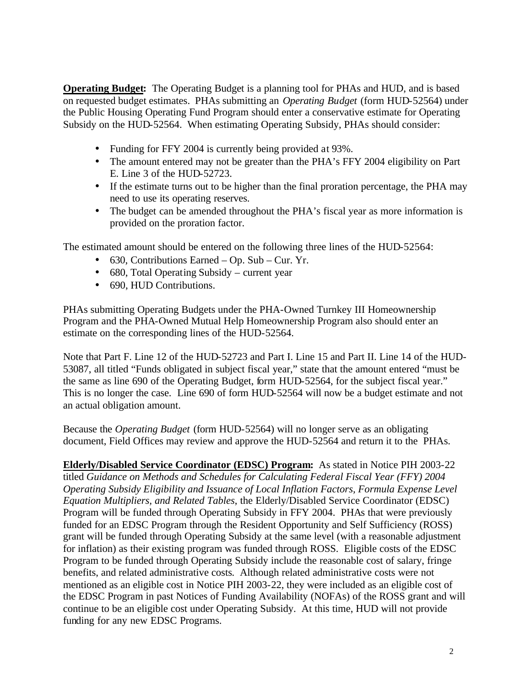**Operating Budget:** The Operating Budget is a planning tool for PHAs and HUD, and is based on requested budget estimates. PHAs submitting an *Operating Budget* (form HUD-52564) under the Public Housing Operating Fund Program should enter a conservative estimate for Operating Subsidy on the HUD-52564. When estimating Operating Subsidy, PHAs should consider:

- Funding for FFY 2004 is currently being provided at 93%.
- The amount entered may not be greater than the PHA's FFY 2004 eligibility on Part E. Line 3 of the HUD-52723.
- If the estimate turns out to be higher than the final proration percentage, the PHA may need to use its operating reserves.
- The budget can be amended throughout the PHA's fiscal year as more information is provided on the proration factor.

The estimated amount should be entered on the following three lines of the HUD-52564:

- 630, Contributions Earned Op. Sub Cur. Yr.
- 680, Total Operating Subsidy current year
- 690, HUD Contributions.

PHAs submitting Operating Budgets under the PHA-Owned Turnkey III Homeownership Program and the PHA-Owned Mutual Help Homeownership Program also should enter an estimate on the corresponding lines of the HUD-52564.

Note that Part F. Line 12 of the HUD-52723 and Part I. Line 15 and Part II. Line 14 of the HUD-53087, all titled "Funds obligated in subject fiscal year," state that the amount entered "must be the same as line 690 of the Operating Budget, form HUD-52564, for the subject fiscal year." This is no longer the case. Line 690 of form HUD-52564 will now be a budget estimate and not an actual obligation amount.

Because the *Operating Budget* (form HUD-52564) will no longer serve as an obligating document, Field Offices may review and approve the HUD-52564 and return it to the PHAs.

**Elderly/Disabled Service Coordinator (EDSC) Program:** As stated in Notice PIH 2003-22 titled *Guidance on Methods and Schedules for Calculating Federal Fiscal Year (FFY) 2004 Operating Subsidy Eligibility and Issuance of Local Inflation Factors, Formula Expense Level Equation Multipliers, and Related Tables*, the Elderly/Disabled Service Coordinator (EDSC) Program will be funded through Operating Subsidy in FFY 2004. PHAs that were previously funded for an EDSC Program through the Resident Opportunity and Self Sufficiency (ROSS) grant will be funded through Operating Subsidy at the same level (with a reasonable adjustment for inflation) as their existing program was funded through ROSS. Eligible costs of the EDSC Program to be funded through Operating Subsidy include the reasonable cost of salary, fringe benefits, and related administrative costs*.* Although related administrative costs were not mentioned as an eligible cost in Notice PIH 2003-22, they were included as an eligible cost of the EDSC Program in past Notices of Funding Availability (NOFAs) of the ROSS grant and will continue to be an eligible cost under Operating Subsidy. At this time, HUD will not provide funding for any new EDSC Programs.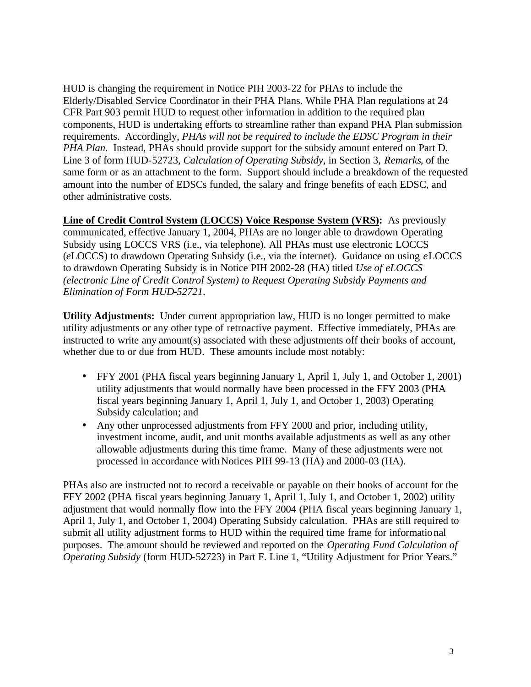HUD is changing the requirement in Notice PIH 2003-22 for PHAs to include the Elderly/Disabled Service Coordinator in their PHA Plans. While PHA Plan regulations at 24 CFR Part 903 permit HUD to request other information in addition to the required plan components, HUD is undertaking efforts to streamline rather than expand PHA Plan submission requirements. Accordingly, *PHAs will not be required to include the EDSC Program in their PHA Plan.* Instead, PHAs should provide support for the subsidy amount entered on Part D. Line 3 of form HUD-52723, *Calculation of Operating Subsidy,* in Section 3, *Remarks*, of the same form or as an attachment to the form. Support should include a breakdown of the requested amount into the number of EDSCs funded, the salary and fringe benefits of each EDSC, and other administrative costs.

**Line of Credit Control System (LOCCS) Voice Response System (VRS):** As previously communicated, effective January 1, 2004, PHAs are no longer able to drawdown Operating Subsidy using LOCCS VRS (i.e., via telephone). All PHAs must use electronic LOCCS (*e*LOCCS) to drawdown Operating Subsidy (i.e., via the internet). Guidance on using *e*LOCCS to drawdown Operating Subsidy is in Notice PIH 2002-28 (HA) titled *Use of eLOCCS (electronic Line of Credit Control System) to Request Operating Subsidy Payments and Elimination of Form HUD-52721*.

**Utility Adjustments:** Under current appropriation law, HUD is no longer permitted to make utility adjustments or any other type of retroactive payment. Effective immediately, PHAs are instructed to write any amount(s) associated with these adjustments off their books of account, whether due to or due from HUD. These amounts include most notably:

- FFY 2001 (PHA fiscal years beginning January 1, April 1, July 1, and October 1, 2001) utility adjustments that would normally have been processed in the FFY 2003 (PHA fiscal years beginning January 1, April 1, July 1, and October 1, 2003) Operating Subsidy calculation; and
- Any other unprocessed adjustments from FFY 2000 and prior, including utility, investment income, audit, and unit months available adjustments as well as any other allowable adjustments during this time frame. Many of these adjustments were not processed in accordance with Notices PIH 99-13 (HA) and 2000-03 (HA).

PHAs also are instructed not to record a receivable or payable on their books of account for the FFY 2002 (PHA fiscal years beginning January 1, April 1, July 1, and October 1, 2002) utility adjustment that would normally flow into the FFY 2004 (PHA fiscal years beginning January 1, April 1, July 1, and October 1, 2004) Operating Subsidy calculation. PHAs are still required to submit all utility adjustment forms to HUD within the required time frame for informational purposes. The amount should be reviewed and reported on the *Operating Fund Calculation of Operating Subsidy* (form HUD-52723) in Part F. Line 1, "Utility Adjustment for Prior Years."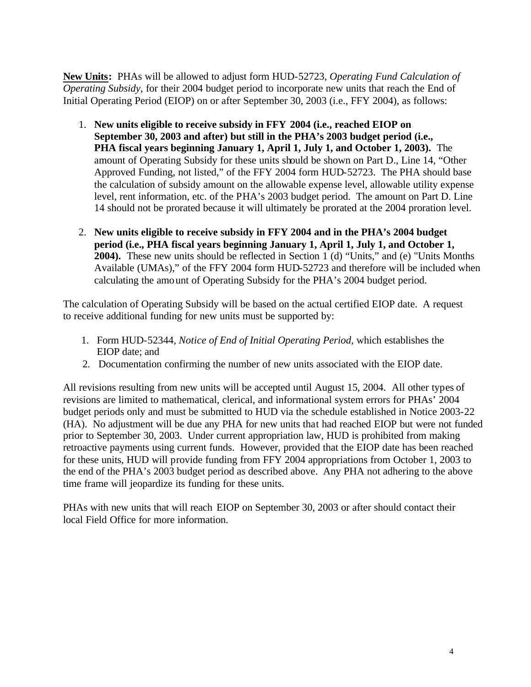**New Units:** PHAs will be allowed to adjust form HUD-52723, *Operating Fund Calculation of Operating Subsidy*, for their 2004 budget period to incorporate new units that reach the End of Initial Operating Period (EIOP) on or after September 30, 2003 (i.e., FFY 2004), as follows:

- 1. **New units eligible to receive subsidy in FFY 2004 (i.e., reached EIOP on September 30, 2003 and after) but still in the PHA's 2003 budget period (i.e., PHA fiscal years beginning January 1, April 1, July 1, and October 1, 2003).** The amount of Operating Subsidy for these units should be shown on Part D., Line 14, "Other Approved Funding, not listed," of the FFY 2004 form HUD-52723. The PHA should base the calculation of subsidy amount on the allowable expense level, allowable utility expense level, rent information, etc. of the PHA's 2003 budget period. The amount on Part D. Line 14 should not be prorated because it will ultimately be prorated at the 2004 proration level.
- 2. **New units eligible to receive subsidy in FFY 2004 and in the PHA's 2004 budget period (i.e., PHA fiscal years beginning January 1, April 1, July 1, and October 1, 2004).** These new units should be reflected in Section 1 (d) "Units," and (e) "Units Months Available (UMAs)," of the FFY 2004 form HUD-52723 and therefore will be included when calculating the amount of Operating Subsidy for the PHA's 2004 budget period.

The calculation of Operating Subsidy will be based on the actual certified EIOP date. A request to receive additional funding for new units must be supported by:

- 1. Form HUD-52344, *Notice of End of Initial Operating Period,* which establishes the EIOP date; and
- 2. Documentation confirming the number of new units associated with the EIOP date.

All revisions resulting from new units will be accepted until August 15, 2004. All other types of revisions are limited to mathematical, clerical, and informational system errors for PHAs' 2004 budget periods only and must be submitted to HUD via the schedule established in Notice 2003-22 (HA). No adjustment will be due any PHA for new units that had reached EIOP but were not funded prior to September 30, 2003. Under current appropriation law, HUD is prohibited from making retroactive payments using current funds. However, provided that the EIOP date has been reached for these units, HUD will provide funding from FFY 2004 appropriations from October 1, 2003 to the end of the PHA's 2003 budget period as described above. Any PHA not adhering to the above time frame will jeopardize its funding for these units.

PHAs with new units that will reach EIOP on September 30, 2003 or after should contact their local Field Office for more information.